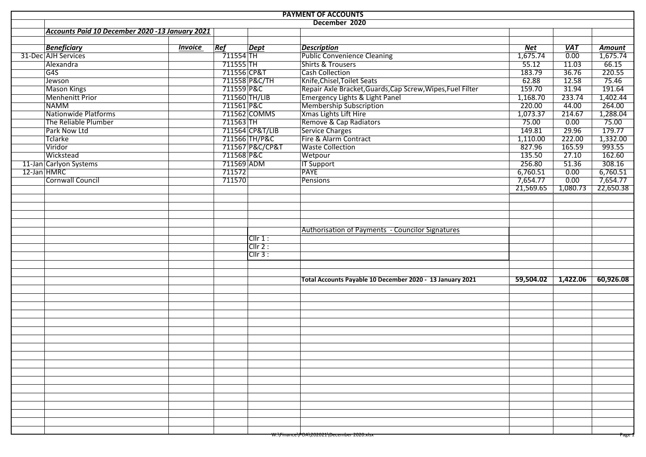| <b>PAYMENT OF ACCOUNTS</b> |                                                 |                |                        |                 |                                                            |           |            |                    |  |  |  |
|----------------------------|-------------------------------------------------|----------------|------------------------|-----------------|------------------------------------------------------------|-----------|------------|--------------------|--|--|--|
|                            |                                                 |                |                        |                 | December 2020                                              |           |            |                    |  |  |  |
|                            | Accounts Paid 10 December 2020 -13 January 2021 |                |                        |                 |                                                            |           |            |                    |  |  |  |
|                            |                                                 |                |                        |                 |                                                            |           |            |                    |  |  |  |
|                            | <b>Beneficiary</b>                              | <b>Invoice</b> | Ref                    | <b>Dept</b>     | <b>Description</b>                                         | Net       | <b>VAT</b> | <b>Amount</b>      |  |  |  |
|                            | 31-Dec AJH Services                             |                | $\overline{711554}$ TH |                 | <b>Public Convenience Cleaning</b>                         | 1,675.74  | 0.00       | $\frac{1,675.74}{$ |  |  |  |
|                            | Alexandra                                       |                | 711555 TH              |                 | <b>Shirts &amp; Trousers</b>                               | 55.12     | 11.03      | 66.15              |  |  |  |
|                            | G4S                                             |                | 711556 CP&T            |                 | <b>Cash Collection</b>                                     | 183.79    | 36.76      | 220.55             |  |  |  |
|                            | Jewson                                          |                |                        | 711558 P&C/TH   | Knife, Chisel, Toilet Seats                                | 62.88     | 12.58      | 75.46              |  |  |  |
|                            | <b>Mason Kings</b>                              |                | 711559 P&C             |                 | Repair Axle Bracket, Guards, Cap Screw, Wipes, Fuel Filter | 159.70    | 31.94      | 191.64             |  |  |  |
|                            | <b>Menhenitt Prior</b>                          |                | 711560 TH/LIB          |                 | Emergency Lights & Light Panel                             | 1,168.70  | 233.74     | 1,402.44           |  |  |  |
|                            | <b>NAMM</b>                                     |                | 711561 P&C             |                 | <b>Membership Subscription</b>                             | 220.00    | 44.00      | 264.00             |  |  |  |
|                            | <b>Nationwide Platforms</b>                     |                |                        | 711562 COMMS    | Xmas Lights Lift Hire                                      | 1,073.37  | 214.67     | 1,288.04           |  |  |  |
|                            | The Reliable Plumber                            |                | $711563$ TH            |                 | Remove & Cap Radiators                                     | 75.00     | 0.00       | 75.00              |  |  |  |
|                            | Park Now Ltd                                    |                |                        | 711564 CP&T/LIB | <b>Service Charges</b>                                     | 149.81    | 29.96      | 179.77             |  |  |  |
|                            | Tclarke                                         |                |                        | 711566 TH/P&C   | Fire & Alarm Contract                                      | 1,110.00  | 222.00     | 1,332.00           |  |  |  |
|                            | Viridor                                         |                |                        | 711567 P&C/CP&T | <b>Waste Collection</b>                                    | 827.96    | 165.59     | 993.55             |  |  |  |
|                            | Wickstead                                       |                | 711568 P&C             |                 | Wetpour                                                    | 135.50    | 27.10      | 162.60             |  |  |  |
|                            | 11-Jan Carlyon Systems                          |                | 711569 ADM             |                 | <b>IT Support</b>                                          | 256.80    | 51.36      | 308.16             |  |  |  |
| 12-Jan HMRC                |                                                 |                | 711572                 |                 | <b>PAYE</b>                                                | 6,760.51  | 0.00       | 6,760.51           |  |  |  |
|                            | Cornwall Council                                |                | 711570                 |                 | <b>Pensions</b>                                            | 7,654.77  | 0.00       | 7,654.77           |  |  |  |
|                            |                                                 |                |                        |                 |                                                            | 21,569.65 | 1,080.73   | 22,650.38          |  |  |  |
|                            |                                                 |                |                        |                 |                                                            |           |            |                    |  |  |  |
|                            |                                                 |                |                        |                 |                                                            |           |            |                    |  |  |  |
|                            |                                                 |                |                        |                 |                                                            |           |            |                    |  |  |  |
|                            |                                                 |                |                        |                 |                                                            |           |            |                    |  |  |  |
|                            |                                                 |                |                        |                 | Authorisation of Payments - Councilor Signatures           |           |            |                    |  |  |  |
|                            |                                                 |                |                        | Clir 1:         |                                                            |           |            |                    |  |  |  |
|                            |                                                 |                |                        | ClIr 2:         |                                                            |           |            |                    |  |  |  |
|                            |                                                 |                |                        | CIIr3:          |                                                            |           |            |                    |  |  |  |
|                            |                                                 |                |                        |                 |                                                            |           |            |                    |  |  |  |
|                            |                                                 |                |                        |                 |                                                            |           |            |                    |  |  |  |
|                            |                                                 |                |                        |                 | Total Accounts Payable 10 December 2020 - 13 January 2021  | 59,504.02 | 1,422.06   | 60,926.08          |  |  |  |
|                            |                                                 |                |                        |                 |                                                            |           |            |                    |  |  |  |
|                            |                                                 |                |                        |                 |                                                            |           |            |                    |  |  |  |
|                            |                                                 |                |                        |                 |                                                            |           |            |                    |  |  |  |
|                            |                                                 |                |                        |                 |                                                            |           |            |                    |  |  |  |
|                            |                                                 |                |                        |                 |                                                            |           |            |                    |  |  |  |
|                            |                                                 |                |                        |                 |                                                            |           |            |                    |  |  |  |
|                            |                                                 |                |                        |                 |                                                            |           |            |                    |  |  |  |
|                            |                                                 |                |                        |                 |                                                            |           |            |                    |  |  |  |
|                            |                                                 |                |                        |                 |                                                            |           |            |                    |  |  |  |
|                            |                                                 |                |                        |                 |                                                            |           |            |                    |  |  |  |
|                            |                                                 |                |                        |                 |                                                            |           |            |                    |  |  |  |
|                            |                                                 |                |                        |                 |                                                            |           |            |                    |  |  |  |
|                            |                                                 |                |                        |                 |                                                            |           |            |                    |  |  |  |
|                            |                                                 |                |                        |                 |                                                            |           |            |                    |  |  |  |
|                            |                                                 |                |                        |                 |                                                            |           |            |                    |  |  |  |
|                            |                                                 |                |                        |                 |                                                            |           |            |                    |  |  |  |
|                            |                                                 |                |                        |                 |                                                            |           |            |                    |  |  |  |
|                            |                                                 |                |                        |                 |                                                            |           |            |                    |  |  |  |
|                            |                                                 |                |                        |                 | w:\Finance\POA\Z0Z0Z1\December Z0Z0.xisx                   |           |            | Page I             |  |  |  |